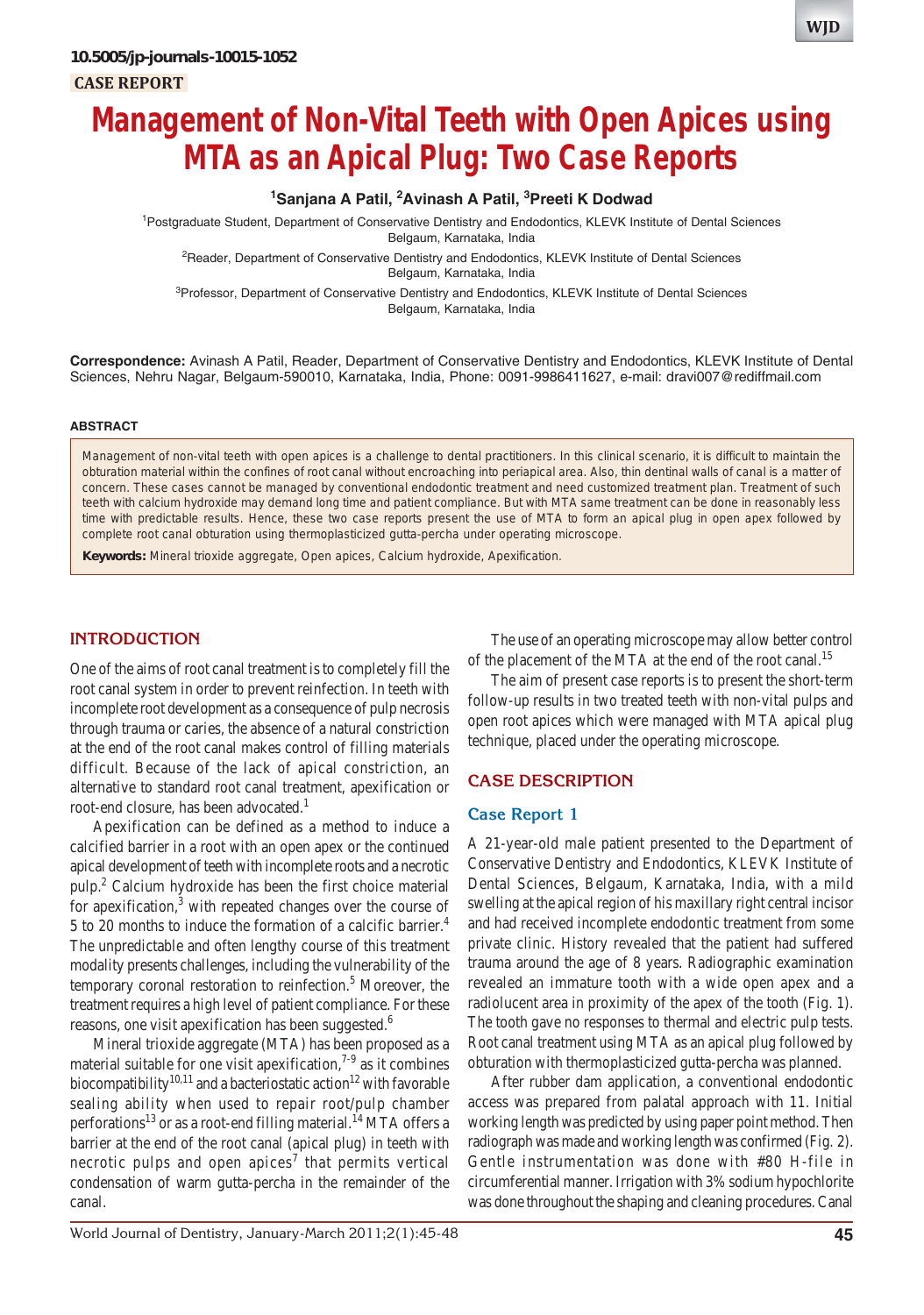# **Management of Non-Vital Teeth with Open Apices using MTA as an Apical Plug: Two Case Reports**

# <sup>1</sup> Sanjana A Patil, <sup>2</sup> Avinash A Patil, <sup>3</sup> Preeti K Dodwad

<sup>1</sup>Postgraduate Student, Department of Conservative Dentistry and Endodontics, KLEVK Institute of Dental Sciences Belgaum, Karnataka, India

<sup>2</sup>Reader, Department of Conservative Dentistry and Endodontics, KLEVK Institute of Dental Sciences Belgaum, Karnataka, India

<sup>3</sup>Professor, Department of Conservative Dentistry and Endodontics, KLEVK Institute of Dental Sciences Belgaum, Karnataka, India

**Correspondence:** Avinash A Patil, Reader, Department of Conservative Dentistry and Endodontics, KLEVK Institute of Dental Sciences, Nehru Nagar, Belgaum-590010, Karnataka, India, Phone: 0091-9986411627, e-mail: dravi007@rediffmail.com

#### **ABSTRACT**

Management of non-vital teeth with open apices is a challenge to dental practitioners. In this clinical scenario, it is difficult to maintain the obturation material within the confines of root canal without encroaching into periapical area. Also, thin dentinal walls of canal is a matter of concern. These cases cannot be managed by conventional endodontic treatment and need customized treatment plan. Treatment of such teeth with calcium hydroxide may demand long time and patient compliance. But with MTA same treatment can be done in reasonably less time with predictable results. Hence, these two case reports present the use of MTA to form an apical plug in open apex followed by complete root canal obturation using thermoplasticized gutta-percha under operating microscope.

**Keywords:** Mineral trioxide aggregate, Open apices, Calcium hydroxide, Apexification.

## **INTRODUCTION**

One of the aims of root canal treatment is to completely fill the root canal system in order to prevent reinfection. In teeth with incomplete root development as a consequence of pulp necrosis through trauma or caries, the absence of a natural constriction at the end of the root canal makes control of filling materials difficult. Because of the lack of apical constriction, an alternative to standard root canal treatment, apexification or root-end closure, has been advocated.<sup>1</sup>

Apexification can be defined as a method to induce a calcified barrier in a root with an open apex or the continued apical development of teeth with incomplete roots and a necrotic pulp.2 Calcium hydroxide has been the first choice material for apexification,<sup>3</sup> with repeated changes over the course of 5 to 20 months to induce the formation of a calcific barrier.<sup>4</sup> The unpredictable and often lengthy course of this treatment modality presents challenges, including the vulnerability of the temporary coronal restoration to reinfection.<sup>5</sup> Moreover, the treatment requires a high level of patient compliance. For these reasons, one visit apexification has been suggested.<sup>6</sup>

Mineral trioxide aggregate (MTA) has been proposed as a material suitable for one visit apexification, $7-9$  as it combines biocompatibility<sup>10,11</sup> and a bacteriostatic action<sup>12</sup> with favorable sealing ability when used to repair root/pulp chamber perforations<sup>13</sup> or as a root-end filling material.<sup>14</sup> MTA offers a barrier at the end of the root canal (apical plug) in teeth with necrotic pulps and open apices<sup>7</sup> that permits vertical condensation of warm gutta-percha in the remainder of the canal.

The use of an operating microscope may allow better control of the placement of the MTA at the end of the root canal.<sup>15</sup>

The aim of present case reports is to present the short-term follow-up results in two treated teeth with non-vital pulps and open root apices which were managed with MTA apical plug technique, placed under the operating microscope.

### **CASE DESCRIPTION**

#### **Case Report 1**

A 21-year-old male patient presented to the Department of Conservative Dentistry and Endodontics, KLEVK Institute of Dental Sciences, Belgaum, Karnataka, India, with a mild swelling at the apical region of his maxillary right central incisor and had received incomplete endodontic treatment from some private clinic. History revealed that the patient had suffered trauma around the age of 8 years. Radiographic examination revealed an immature tooth with a wide open apex and a radiolucent area in proximity of the apex of the tooth (Fig. 1). The tooth gave no responses to thermal and electric pulp tests. Root canal treatment using MTA as an apical plug followed by obturation with thermoplasticized gutta-percha was planned.

After rubber dam application, a conventional endodontic access was prepared from palatal approach with 11. Initial working length was predicted by using paper point method. Then radiograph was made and working length was confirmed (Fig. 2). Gentle instrumentation was done with #80 H-file in circumferential manner. Irrigation with 3% sodium hypochlorite was done throughout the shaping and cleaning procedures. Canal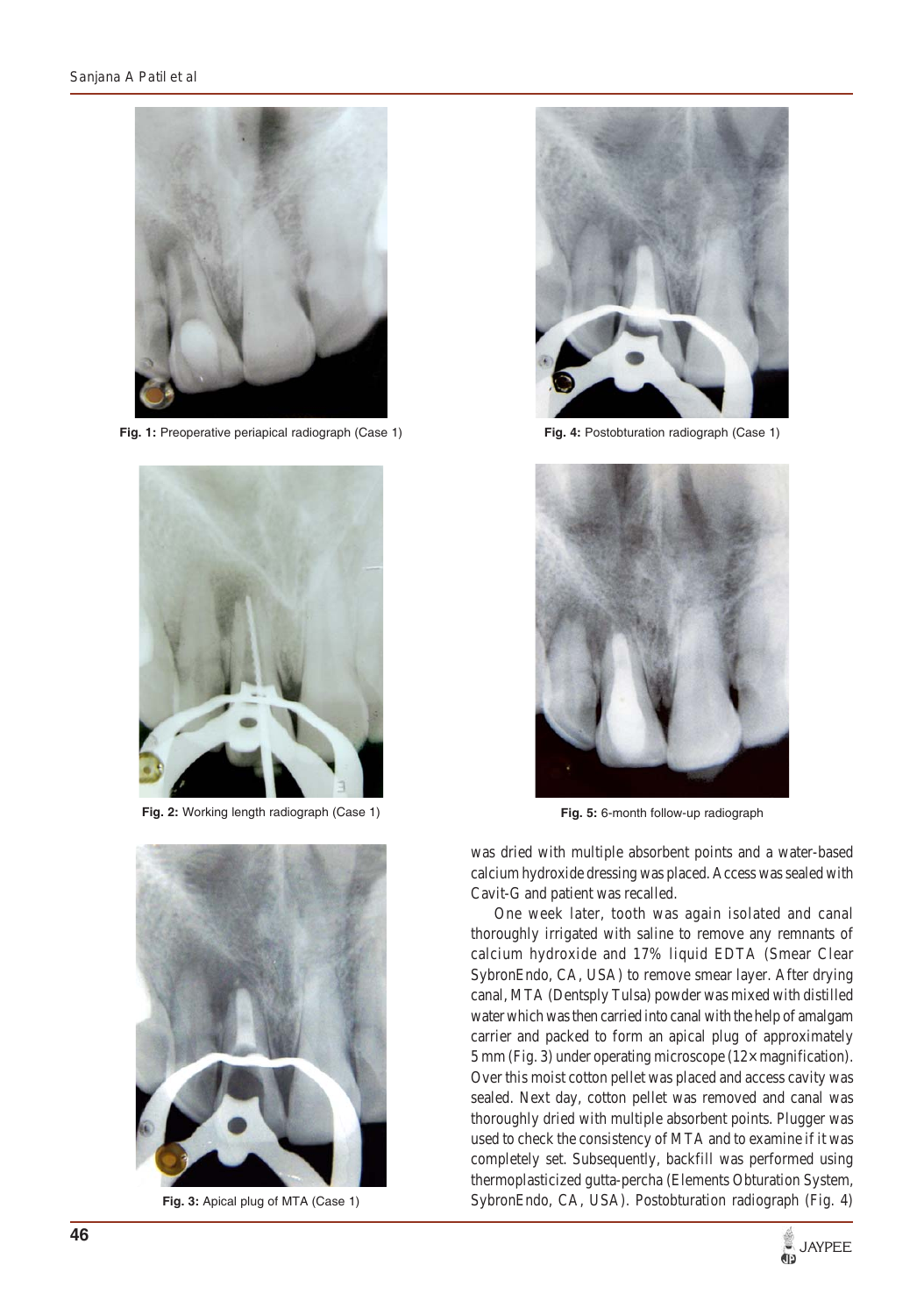

**Fig. 1:** Preoperative periapical radiograph (Case 1)



**Fig. 2:** Working length radiograph (Case 1)



**Fig. 3:** Apical plug of MTA (Case 1)



**Fig. 4:** Postobturation radiograph (Case 1)



**Fig. 5:** 6-month follow-up radiograph

was dried with multiple absorbent points and a water-based calcium hydroxide dressing was placed. Access was sealed with Cavit-G and patient was recalled.

One week later, tooth was again isolated and canal thoroughly irrigated with saline to remove any remnants of calcium hydroxide and 17% liquid EDTA (Smear Clear SybronEndo, CA, USA) to remove smear layer. After drying canal, MTA (Dentsply Tulsa) powder was mixed with distilled water which was then carried into canal with the help of amalgam carrier and packed to form an apical plug of approximately 5 mm (Fig. 3) under operating microscope (12× magnification). Over this moist cotton pellet was placed and access cavity was sealed. Next day, cotton pellet was removed and canal was thoroughly dried with multiple absorbent points. Plugger was used to check the consistency of MTA and to examine if it was completely set. Subsequently, backfill was performed using thermoplasticized gutta-percha (Elements Obturation System, SybronEndo, CA, USA). Postobturation radiograph (Fig. 4)

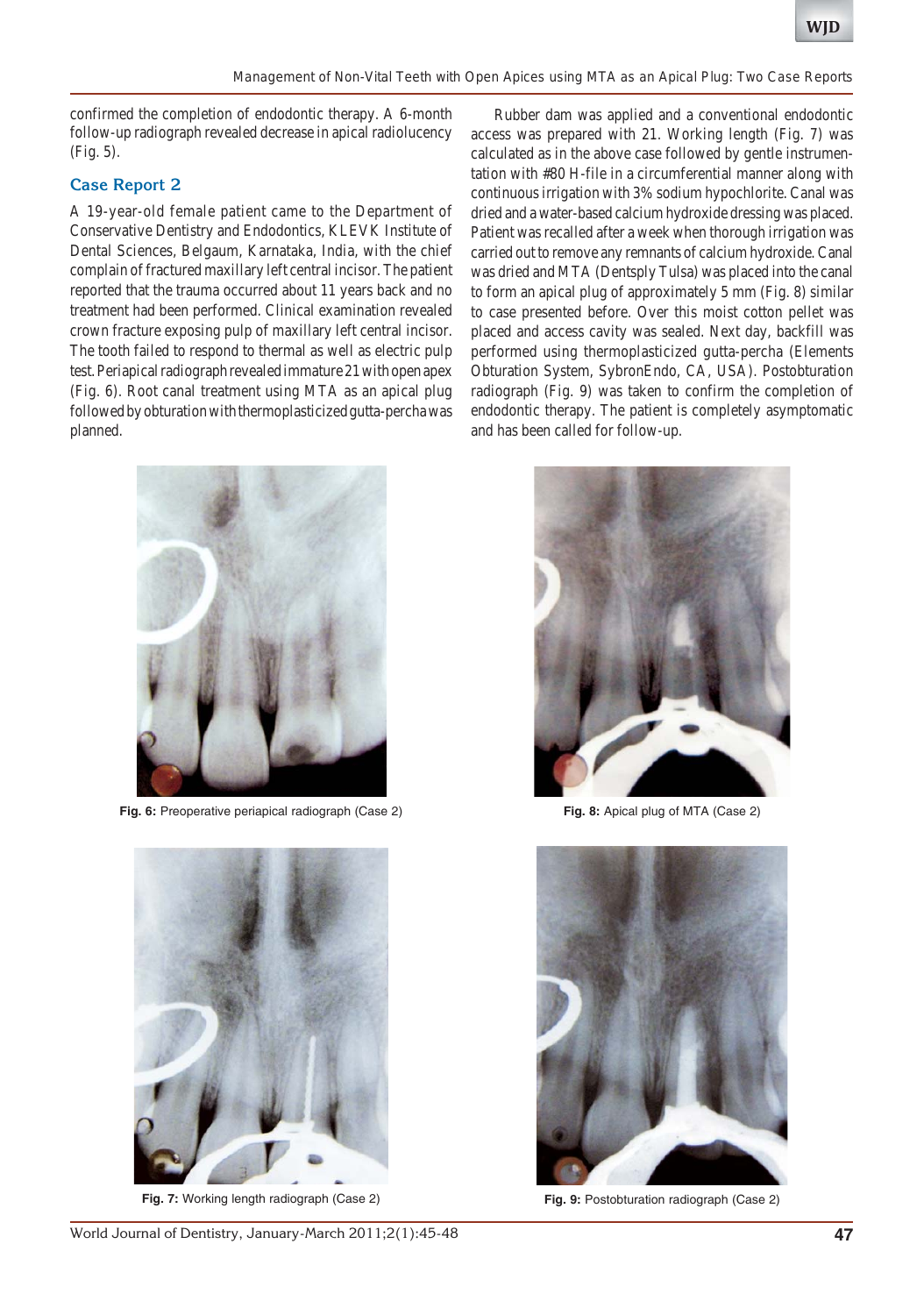confirmed the completion of endodontic therapy. A 6-month follow-up radiograph revealed decrease in apical radiolucency (Fig. 5).

## **Case Report 2**

A 19-year-old female patient came to the Department of Conservative Dentistry and Endodontics, KLEVK Institute of Dental Sciences, Belgaum, Karnataka, India, with the chief complain of fractured maxillary left central incisor. The patient reported that the trauma occurred about 11 years back and no treatment had been performed. Clinical examination revealed crown fracture exposing pulp of maxillary left central incisor. The tooth failed to respond to thermal as well as electric pulp test. Periapical radiograph revealed immature 21 with open apex (Fig. 6). Root canal treatment using MTA as an apical plug followed by obturation with thermoplasticized gutta-percha was planned.

**Fig. 6:** Preoperative periapical radiograph (Case 2)



**Fig. 7:** Working length radiograph (Case 2)

Rubber dam was applied and a conventional endodontic access was prepared with 21. Working length (Fig. 7) was calculated as in the above case followed by gentle instrumentation with #80 H-file in a circumferential manner along with continuous irrigation with 3% sodium hypochlorite. Canal was dried and a water-based calcium hydroxide dressing was placed. Patient was recalled after a week when thorough irrigation was carried out to remove any remnants of calcium hydroxide. Canal was dried and MTA (Dentsply Tulsa) was placed into the canal to form an apical plug of approximately 5 mm (Fig. 8) similar to case presented before. Over this moist cotton pellet was placed and access cavity was sealed. Next day, backfill was performed using thermoplasticized gutta-percha (Elements Obturation System, SybronEndo, CA, USA). Postobturation radiograph (Fig. 9) was taken to confirm the completion of endodontic therapy. The patient is completely asymptomatic and has been called for follow-up.



**Fig. 8:** Apical plug of MTA (Case 2)



**Fig. 9:** Postobturation radiograph (Case 2)